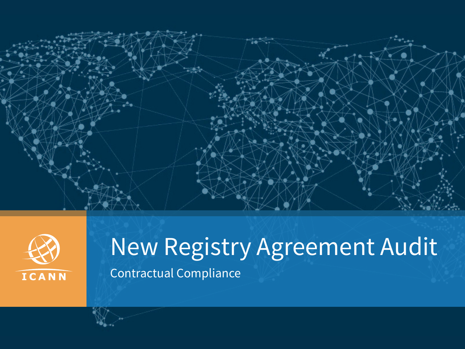



## New Registry Agreement Audit Contractual Compliance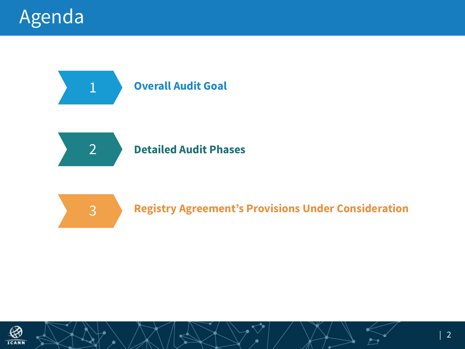

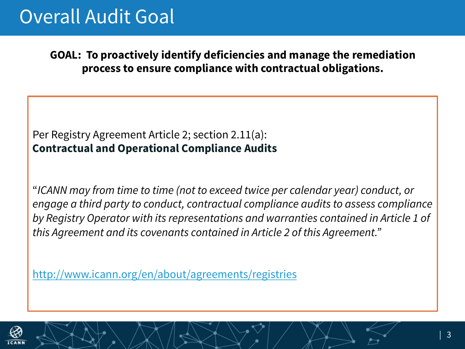## Overall Audit Goal

**GOAL: To proactively identify deficiencies and manage the remediation process to ensure compliance with contractual obligations.** 

Per Registry Agreement Article 2; section 2.11(a): **Contractual and Operational Compliance Audits**

"*ICANN may from time to time (not to exceed twice per calendar year) conduct, or engage a third party to conduct, contractual compliance audits to assess compliance by Registry Operator with its representations and warranties contained in Article 1 of this Agreement and its covenants contained in Article 2 of this Agreement."* 

http://www.icann.org/en/about/agreements/registries

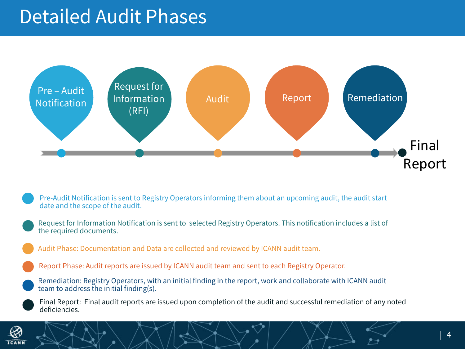## Detailed Audit Phases



- Pre-Audit Notification is sent to Registry Operators informing them about an upcoming audit, the audit start date and the scope of the audit.
- Request for Information Notification is sent to selected Registry Operators. This notification includes a list of the required documents.
	- Audit Phase: Documentation and Data are collected and reviewed by ICANN audit team.
	- Report Phase: Audit reports are issued by ICANN audit team and sent to each Registry Operator.
- Remediation: Registry Operators, with an initial finding in the report, work and collaborate with ICANN audit team to address the initial finding(s).
	- Final Report: Final audit reports are issued upon completion of the audit and successful remediation of any noted deficiencies.

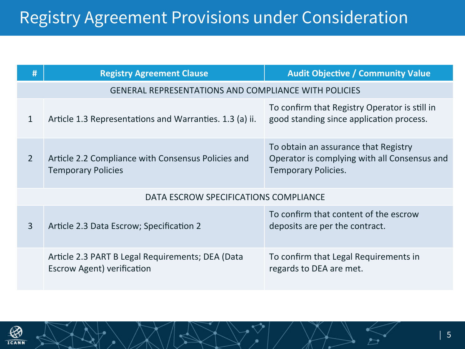| #                                                           | <b>Registry Agreement Clause</b>                                                      | <b>Audit Objective / Community Value</b>                                                                           |  |  |
|-------------------------------------------------------------|---------------------------------------------------------------------------------------|--------------------------------------------------------------------------------------------------------------------|--|--|
| <b>GENERAL REPRESENTATIONS AND COMPLIANCE WITH POLICIES</b> |                                                                                       |                                                                                                                    |  |  |
| $\mathbf{1}$                                                | Article 1.3 Representations and Warranties. 1.3 (a) ii.                               | To confirm that Registry Operator is still in<br>good standing since application process.                          |  |  |
| $\overline{2}$                                              | Article 2.2 Compliance with Consensus Policies and<br><b>Temporary Policies</b>       | To obtain an assurance that Registry<br>Operator is complying with all Consensus and<br><b>Temporary Policies.</b> |  |  |
| DATA ESCROW SPECIFICATIONS COMPLIANCE                       |                                                                                       |                                                                                                                    |  |  |
| $\overline{3}$                                              | Article 2.3 Data Escrow; Specification 2                                              | To confirm that content of the escrow<br>deposits are per the contract.                                            |  |  |
|                                                             | Article 2.3 PART B Legal Requirements; DEA (Data<br><b>Escrow Agent) verification</b> | To confirm that Legal Requirements in<br>regards to DEA are met.                                                   |  |  |

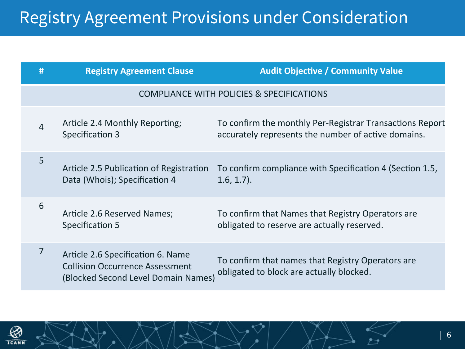| #                                                    | <b>Registry Agreement Clause</b>                                                                                   | <b>Audit Objective / Community Value</b>                                                                        |  |  |
|------------------------------------------------------|--------------------------------------------------------------------------------------------------------------------|-----------------------------------------------------------------------------------------------------------------|--|--|
| <b>COMPLIANCE WITH POLICIES &amp; SPECIFICATIONS</b> |                                                                                                                    |                                                                                                                 |  |  |
| $\overline{4}$                                       | Article 2.4 Monthly Reporting;<br>Specification 3                                                                  | To confirm the monthly Per-Registrar Transactions Report<br>accurately represents the number of active domains. |  |  |
| 5                                                    | Article 2.5 Publication of Registration<br>Data (Whois); Specification 4                                           | To confirm compliance with Specification 4 (Section 1.5,<br>$1.6, 1.7$ ).                                       |  |  |
| 6                                                    | Article 2.6 Reserved Names;<br>Specification 5                                                                     | To confirm that Names that Registry Operators are<br>obligated to reserve are actually reserved.                |  |  |
| 7                                                    | Article 2.6 Specification 6. Name<br><b>Collision Occurrence Assessment</b><br>(Blocked Second Level Domain Names) | To confirm that names that Registry Operators are<br>obligated to block are actually blocked.                   |  |  |

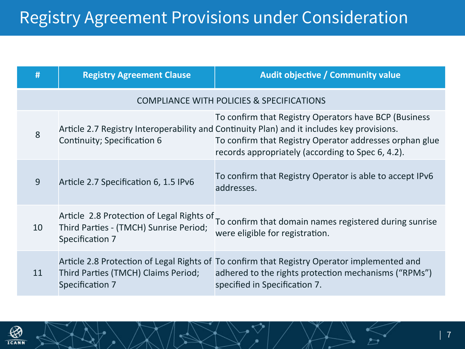| #                                                    | <b>Registry Agreement Clause</b>                                                                       | Audit objective / Community value                                                                                                                                                                                                                                   |  |  |
|------------------------------------------------------|--------------------------------------------------------------------------------------------------------|---------------------------------------------------------------------------------------------------------------------------------------------------------------------------------------------------------------------------------------------------------------------|--|--|
| <b>COMPLIANCE WITH POLICIES &amp; SPECIFICATIONS</b> |                                                                                                        |                                                                                                                                                                                                                                                                     |  |  |
| 8                                                    | Continuity; Specification 6                                                                            | To confirm that Registry Operators have BCP (Business<br>Article 2.7 Registry Interoperability and Continuity Plan) and it includes key provisions.<br>To confirm that Registry Operator addresses orphan glue<br>records appropriately (according to Spec 6, 4.2). |  |  |
| 9                                                    | Article 2.7 Specification 6, 1.5 IPv6                                                                  | To confirm that Registry Operator is able to accept IPv6<br>addresses.                                                                                                                                                                                              |  |  |
| 10                                                   | Article 2.8 Protection of Legal Rights of<br>Third Parties - (TMCH) Sunrise Period;<br>Specification 7 | To confirm that domain names registered during sunrise<br>were eligible for registration.                                                                                                                                                                           |  |  |
| 11                                                   | Third Parties (TMCH) Claims Period;<br>Specification 7                                                 | Article 2.8 Protection of Legal Rights of To confirm that Registry Operator implemented and<br>adhered to the rights protection mechanisms ("RPMs")<br>specified in Specification 7.                                                                                |  |  |

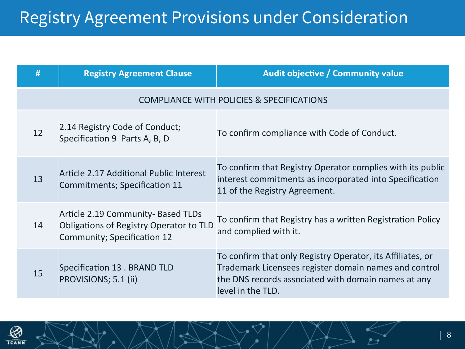| #                                                    | <b>Registry Agreement Clause</b>                                                                             | <b>Audit objective / Community value</b>                                                                                                                                                        |  |  |
|------------------------------------------------------|--------------------------------------------------------------------------------------------------------------|-------------------------------------------------------------------------------------------------------------------------------------------------------------------------------------------------|--|--|
| <b>COMPLIANCE WITH POLICIES &amp; SPECIFICATIONS</b> |                                                                                                              |                                                                                                                                                                                                 |  |  |
| 12                                                   | 2.14 Registry Code of Conduct;<br>Specification 9 Parts A, B, D                                              | To confirm compliance with Code of Conduct.                                                                                                                                                     |  |  |
| 13                                                   | Article 2.17 Additional Public Interest<br>Commitments; Specification 11                                     | To confirm that Registry Operator complies with its public<br>interest commitments as incorporated into Specification<br>11 of the Registry Agreement.                                          |  |  |
| 14                                                   | Article 2.19 Community- Based TLDs<br>Obligations of Registry Operator to TLD<br>Community; Specification 12 | To confirm that Registry has a written Registration Policy<br>and complied with it.                                                                                                             |  |  |
| 15                                                   | Specification 13 . BRAND TLD<br>PROVISIONS; 5.1 (ii)                                                         | To confirm that only Registry Operator, its Affiliates, or<br>Trademark Licensees register domain names and control<br>the DNS records associated with domain names at any<br>level in the TLD. |  |  |

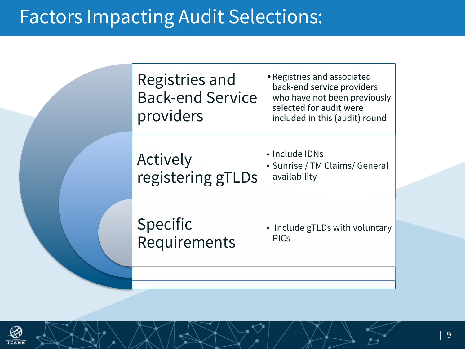## Factors Impacting Audit Selections: